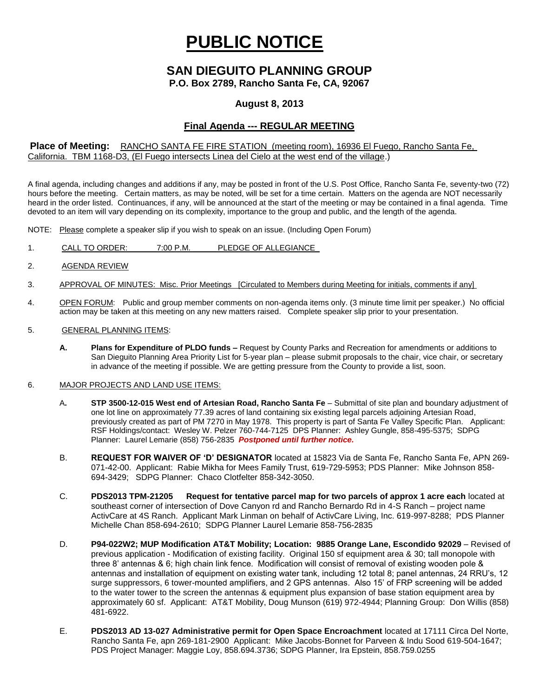# **PUBLIC NOTICE**

## **SAN DIEGUITO PLANNING GROUP**

**P.O. Box 2789, Rancho Santa Fe, CA, 92067**

### **August 8, 2013**

## **Final Agenda --- REGULAR MEETING**

#### **Place of Meeting:** RANCHO SANTA FE FIRE STATION (meeting room), 16936 El Fuego, Rancho Santa Fe, California. TBM 1168-D3, (El Fuego intersects Linea del Cielo at the west end of the village.)

A final agenda, including changes and additions if any, may be posted in front of the U.S. Post Office, Rancho Santa Fe, seventy-two (72) hours before the meeting. Certain matters, as may be noted, will be set for a time certain. Matters on the agenda are NOT necessarily heard in the order listed. Continuances, if any, will be announced at the start of the meeting or may be contained in a final agenda. Time devoted to an item will vary depending on its complexity, importance to the group and public, and the length of the agenda.

NOTE: Please complete a speaker slip if you wish to speak on an issue. (Including Open Forum)

- 1. CALL TO ORDER: 7:00 P.M. PLEDGE OF ALLEGIANCE
- 2. AGENDA REVIEW
- 3. APPROVAL OF MINUTES: Misc. Prior Meetings [Circulated to Members during Meeting for initials, comments if any]
- 4. OPEN FORUM: Public and group member comments on non-agenda items only. (3 minute time limit per speaker.) No official action may be taken at this meeting on any new matters raised. Complete speaker slip prior to your presentation.
- 5. GENERAL PLANNING ITEMS:
	- **A. Plans for Expenditure of PLDO funds –** Request by County Parks and Recreation for amendments or additions to San Dieguito Planning Area Priority List for 5-year plan – please submit proposals to the chair, vice chair, or secretary in advance of the meeting if possible. We are getting pressure from the County to provide a list, soon.

#### 6. MAJOR PROJECTS AND LAND USE ITEMS:

- A**. STP 3500-12-015 West end of Artesian Road, Rancho Santa Fe** Submittal of site plan and boundary adjustment of one lot line on approximately 77.39 acres of land containing six existing legal parcels adjoining Artesian Road, previously created as part of PM 7270 in May 1978. This property is part of Santa Fe Valley Specific Plan.Applicant: RSF Holdings/contact: Wesley W. Pelzer 760-744-7125 DPS Planner: Ashley Gungle, 858-495-5375; SDPG Planner: Laurel Lemarie (858) 756-2835 *Postponed until further notice.*
- B. **REQUEST FOR WAIVER OF 'D' DESIGNATOR** located at 15823 Via de Santa Fe, Rancho Santa Fe, APN 269- 071-42-00. Applicant: Rabie Mikha for Mees Family Trust, 619-729-5953; PDS Planner: Mike Johnson 858- 694-3429; SDPG Planner: Chaco Clotfelter 858-342-3050.
- C. **PDS2013 TPM-21205 Request for tentative parcel map for two parcels of approx 1 acre each** located at southeast corner of intersection of Dove Canyon rd and Rancho Bernardo Rd in 4-S Ranch – project name ActivCare at 4S Ranch. Applicant Mark Linman on behalf of ActivCare Living, Inc. 619-997-8288; PDS Planner Michelle Chan 858-694-2610; SDPG Planner Laurel Lemarie 858-756-2835
- D. **P94-022W2; MUP Modification AT&T Mobility; Location: 9885 Orange Lane, Escondido 92029** Revised of previous application - Modification of existing facility. Original 150 sf equipment area & 30; tall monopole with three 8' antennas & 6; high chain link fence. Modification will consist of removal of existing wooden pole & antennas and installation of equipment on existing water tank, including 12 total 8; panel antennas, 24 RRU's, 12 surge suppressors, 6 tower-mounted amplifiers, and 2 GPS antennas. Also 15' of FRP screening will be added to the water tower to the screen the antennas & equipment plus expansion of base station equipment area by approximately 60 sf. Applicant: AT&T Mobility, Doug Munson (619) 972-4944; Planning Group: Don Willis (858) 481-6922.
- E. **PDS2013 AD 13-027 Administrative permit for Open Space Encroachment** located at 17111 Circa Del Norte, Rancho Santa Fe, apn 269-181-2900 Applicant: Mike Jacobs-Bonnet for Parveen & Indu Sood 619-504-1647; PDS Project Manager: Maggie Loy, 858.694.3736; SDPG Planner, Ira Epstein, 858.759.0255